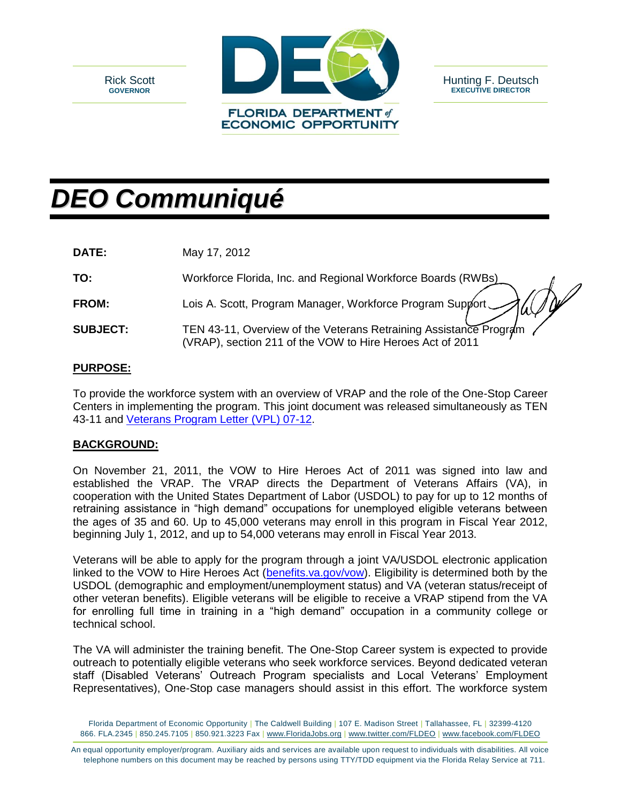



# *DEO Communiqué*

**DATE:** May 17, 2012

| TO:             | Workforce Florida, Inc. and Regional Workforce Boards (RWBs)                                                                   |
|-----------------|--------------------------------------------------------------------------------------------------------------------------------|
| <b>FROM:</b>    | Lois A. Scott, Program Manager, Workforce Program Support Auf                                                                  |
| <b>SUBJECT:</b> | TEN 43-11, Overview of the Veterans Retraining Assistance Program<br>(VRAP), section 211 of the VOW to Hire Heroes Act of 2011 |

### **PURPOSE:**

To provide the workforce system with an overview of VRAP and the role of the One-Stop Career Centers in implementing the program. This joint document was released simultaneously as TEN 43-11 and [Veterans Program Letter \(VPL\) 07-12.](http://www.dol.gov/vets/VPLS/VPLDirectory.html)

## **BACKGROUND:**

On November 21, 2011, the VOW to Hire Heroes Act of 2011 was signed into law and established the VRAP. The VRAP directs the Department of Veterans Affairs (VA), in cooperation with the United States Department of Labor (USDOL) to pay for up to 12 months of retraining assistance in "high demand" occupations for unemployed eligible veterans between the ages of 35 and 60. Up to 45,000 veterans may enroll in this program in Fiscal Year 2012, beginning July 1, 2012, and up to 54,000 veterans may enroll in Fiscal Year 2013.

Veterans will be able to apply for the program through a joint VA/USDOL electronic application linked to the VOW to Hire Heroes Act [\(benefits.va.gov/vow\)](http://benefits.va.gov/vow). Eligibility is determined both by the USDOL (demographic and employment/unemployment status) and VA (veteran status/receipt of other veteran benefits). Eligible veterans will be eligible to receive a VRAP stipend from the VA for enrolling full time in training in a "high demand" occupation in a community college or technical school.

The VA will administer the training benefit. The One-Stop Career system is expected to provide outreach to potentially eligible veterans who seek workforce services. Beyond dedicated veteran staff (Disabled Veterans' Outreach Program specialists and Local Veterans' Employment Representatives), One-Stop case managers should assist in this effort. The workforce system

Florida Department of Economic Opportunity | The Caldwell Building | 107 E. Madison Street | Tallahassee, FL | 32399-4120 866. FLA.2345 | 850.245.7105 | 850.921.3223 Fax | www.FloridaJobs.org | www.twitter.com/FLDEO | www.facebook.com/FLDEO

An equal opportunity employer/program. Auxiliary aids and services are available upon request to individuals with disabilities. All voice telephone numbers on this document may be reached by persons using TTY/TDD equipment via the Florida Relay Service at 711.